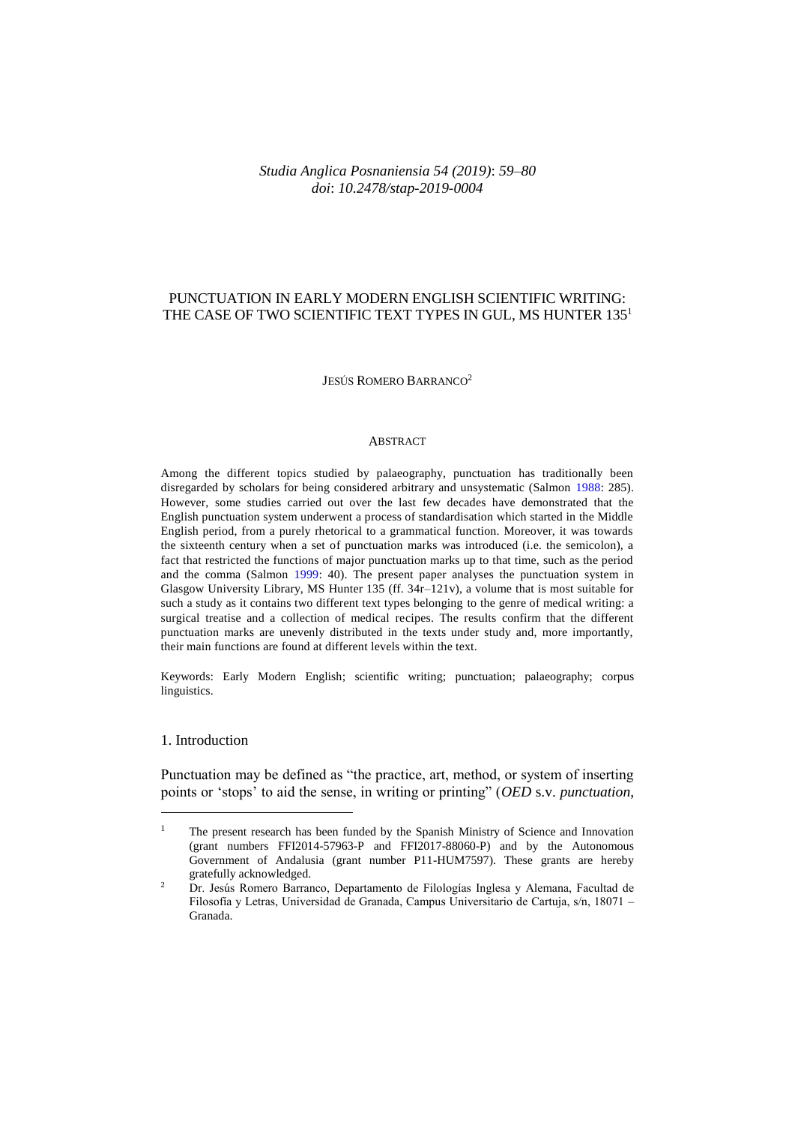## *Studia Anglica Posnaniensia 54 (2019)*: *59–80 doi*: *10.2478/stap-2019-0004*

## PUNCTUATION IN EARLY MODERN ENGLISH SCIENTIFIC WRITING: THE CASE OF TWO SCIENTIFIC TEXT TYPES IN GUL, MS HUNTER 135<sup>1</sup>

#### JESÚS ROMERO BARRANCO<sup>2</sup>

#### ABSTRACT

Among the different topics studied by palaeography, punctuation has traditionally been disregarded by scholars for being considered arbitrary and unsystematic (Salmon [1988:](#page-20-0) 285). However, some studies carried out over the last few decades have demonstrated that the English punctuation system underwent a process of standardisation which started in the Middle English period, from a purely rhetorical to a grammatical function. Moreover, it was towards the sixteenth century when a set of punctuation marks was introduced (i.e. the semicolon), a fact that restricted the functions of major punctuation marks up to that time, such as the period and the comma (Salmon [1999:](#page-20-1) 40). The present paper analyses the punctuation system in Glasgow University Library, MS Hunter 135 (ff. 34r–121v), a volume that is most suitable for such a study as it contains two different text types belonging to the genre of medical writing: a surgical treatise and a collection of medical recipes. The results confirm that the different punctuation marks are unevenly distributed in the texts under study and, more importantly, their main functions are found at different levels within the text.

Keywords: Early Modern English; scientific writing; punctuation; palaeography; corpus linguistics.

## 1. Introduction

 $\overline{a}$ 

Punctuation may be defined as "the practice, art, method, or system of inserting points or 'stops' to aid the sense, in writing or printing" (*OED* s.v. *punctuation*,

<sup>&</sup>lt;sup>1</sup> The present research has been funded by the Spanish Ministry of Science and Innovation (grant numbers FFI2014-57963-P and FFI2017-88060-P) and by the Autonomous Government of Andalusia (grant number P11-HUM7597). These grants are hereby gratefully acknowledged.

<sup>&</sup>lt;sup>2</sup> Dr. Jesús Romero Barranco, Departamento de Filologías Inglesa y Alemana, Facultad de Filosofía y Letras, Universidad de Granada, Campus Universitario de Cartuja, s/n, 18071 – Granada.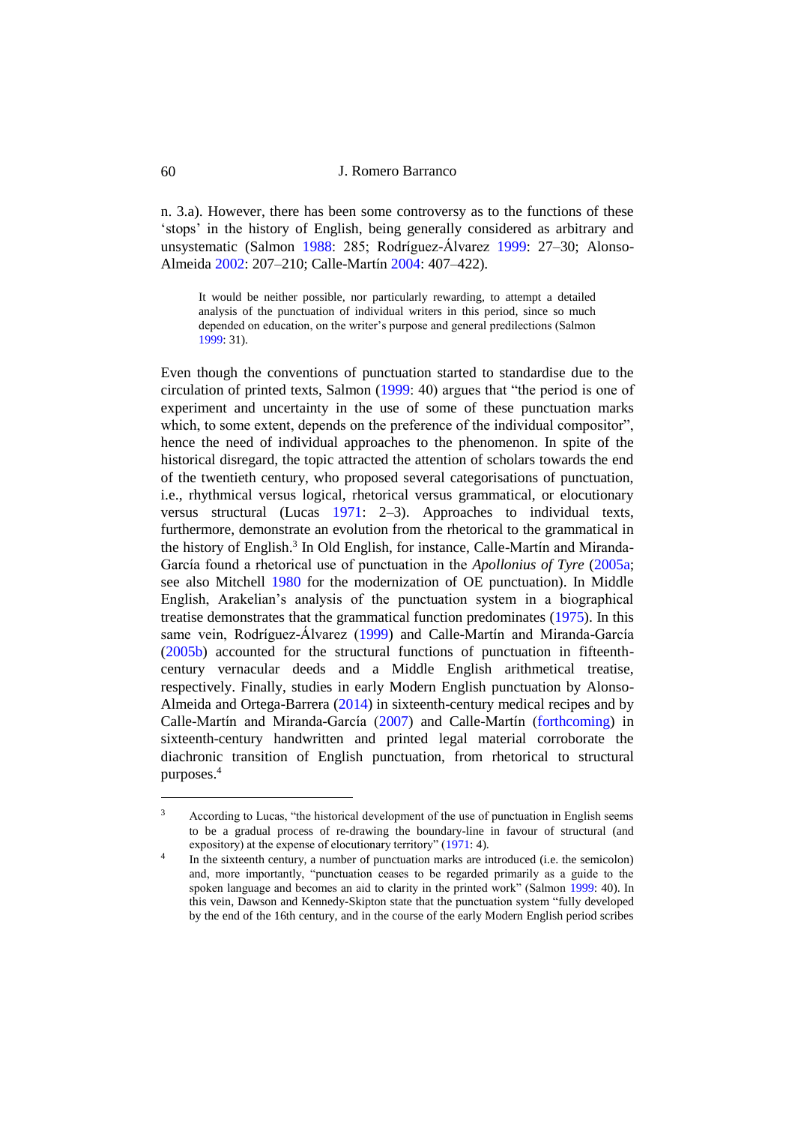n. 3.a). However, there has been some controversy as to the functions of these 'stops' in the history of English, being generally considered as arbitrary and unsystematic (Salmon [1988:](#page-20-0) 285; Rodríguez-Álvarez [1999:](#page-20-2) 27–30; Alonso-Almeida [2002:](#page-18-0) 207–210; Calle-Martín [2004:](#page-19-0) 407–422).

It would be neither possible, nor particularly rewarding, to attempt a detailed analysis of the punctuation of individual writers in this period, since so much depended on education, on the writer's purpose and general predilections (Salmon [1999:](#page-20-1) 31).

Even though the conventions of punctuation started to standardise due to the circulation of printed texts, Salmon [\(1999:](#page-20-1) 40) argues that "the period is one of experiment and uncertainty in the use of some of these punctuation marks which, to some extent, depends on the preference of the individual compositor", hence the need of individual approaches to the phenomenon. In spite of the historical disregard, the topic attracted the attention of scholars towards the end of the twentieth century, who proposed several categorisations of punctuation, i.e., rhythmical versus logical, rhetorical versus grammatical, or elocutionary versus structural (Lucas [1971:](#page-20-3) 2–3). Approaches to individual texts, furthermore, demonstrate an evolution from the rhetorical to the grammatical in the history of English.<sup>3</sup> In Old English, for instance, Calle-Martín and Miranda-García found a rhetorical use of punctuation in the *Apollonius of Tyre* [\(2005a;](#page-19-1) see also Mitchell [1980](#page-20-4) for the modernization of OE punctuation). In Middle English, Arakelian's analysis of the punctuation system in a biographical treatise demonstrates that the grammatical function predominates [\(1975\)](#page-19-2). In this same vein, Rodríguez-Álvarez [\(1999\)](#page-20-2) and Calle-Martín and Miranda-García [\(2005b\)](#page-19-3) accounted for the structural functions of punctuation in fifteenthcentury vernacular deeds and a Middle English arithmetical treatise, respectively. Finally, studies in early Modern English punctuation by Alonso-Almeida and Ortega-Barrera [\(2014\)](#page-18-1) in sixteenth-century medical recipes and by Calle-Martín and Miranda-García [\(2007\)](#page-19-4) and Calle-Martín [\(forthcoming\)](#page-19-5) in sixteenth-century handwritten and printed legal material corroborate the diachronic transition of English punctuation, from rhetorical to structural purposes.<sup>4</sup>

<sup>&</sup>lt;sup>3</sup> According to Lucas, "the historical development of the use of punctuation in English seems to be a gradual process of re-drawing the boundary-line in favour of structural (and expository) at the expense of elocutionary territory" [\(1971:](#page-20-3) 4). 4

In the sixteenth century, a number of punctuation marks are introduced (i.e. the semicolon) and, more importantly, "punctuation ceases to be regarded primarily as a guide to the spoken language and becomes an aid to clarity in the printed work" (Salmon [1999:](#page-20-1) 40). In this vein, Dawson and Kennedy-Skipton state that the punctuation system "fully developed by the end of the 16th century, and in the course of the early Modern English period scribes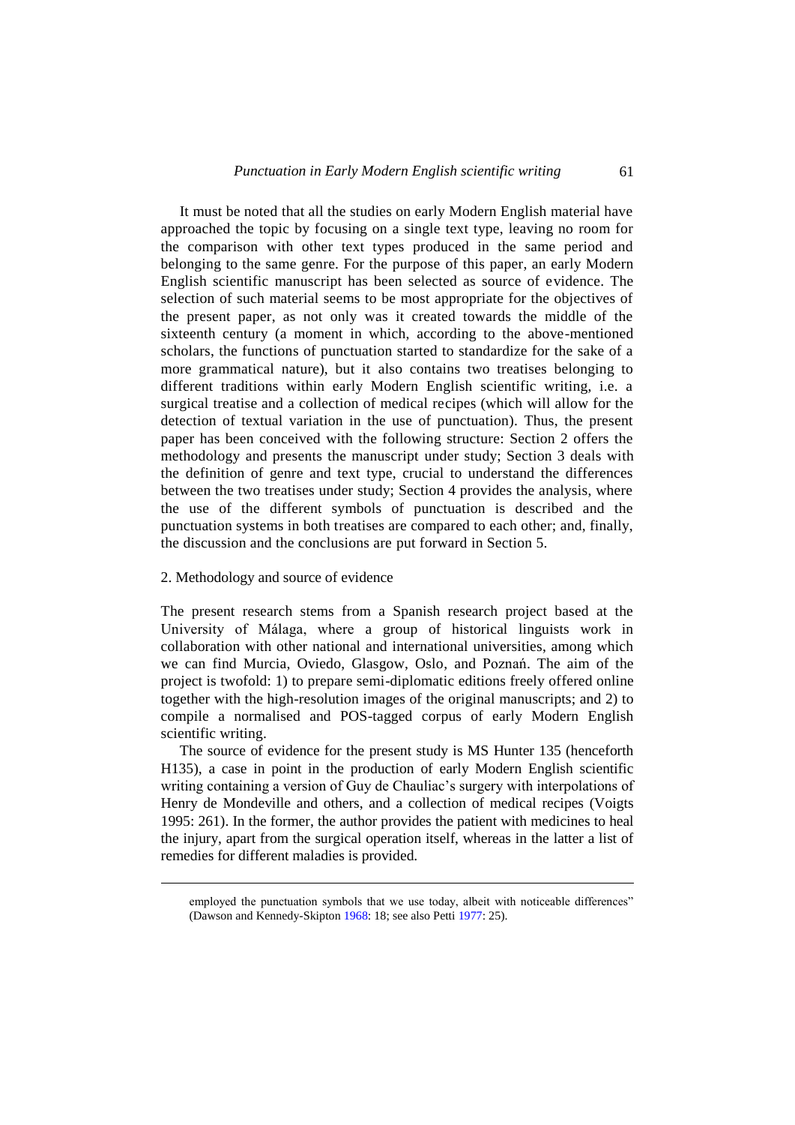It must be noted that all the studies on early Modern English material have approached the topic by focusing on a single text type, leaving no room for the comparison with other text types produced in the same period and belonging to the same genre. For the purpose of this paper, an early Modern English scientific manuscript has been selected as source of evidence. The selection of such material seems to be most appropriate for the objectives of the present paper, as not only was it created towards the middle of the sixteenth century (a moment in which, according to the above-mentioned scholars, the functions of punctuation started to standardize for the sake of a more grammatical nature), but it also contains two treatises belonging to different traditions within early Modern English scientific writing, i.e. a surgical treatise and a collection of medical recipes (which will allow for the detection of textual variation in the use of punctuation). Thus, the present paper has been conceived with the following structure: Section 2 offers the methodology and presents the manuscript under study; Section 3 deals with the definition of genre and text type, crucial to understand the differences between the two treatises under study; Section 4 provides the analysis, where the use of the different symbols of punctuation is described and the punctuation systems in both treatises are compared to each other; and, finally, the discussion and the conclusions are put forward in Section 5.

### 2. Methodology and source of evidence

 $\overline{a}$ 

The present research stems from a Spanish research project based at the University of Málaga, where a group of historical linguists work in collaboration with other national and international universities, among which we can find Murcia, Oviedo, Glasgow, Oslo, and Poznań. The aim of the project is twofold: 1) to prepare semi-diplomatic editions freely offered online together with the high-resolution images of the original manuscripts; and 2) to compile a normalised and POS-tagged corpus of early Modern English scientific writing.

The source of evidence for the present study is MS Hunter 135 (henceforth H135), a case in point in the production of early Modern English scientific writing containing a version of Guy de Chauliac's surgery with interpolations of Henry de Mondeville and others, and a collection of medical recipes (Voigts 1995: 261). In the former, the author provides the patient with medicines to heal the injury, apart from the surgical operation itself, whereas in the latter a list of remedies for different maladies is provided.

employed the punctuation symbols that we use today, albeit with noticeable differences" (Dawson and Kennedy-Skipto[n 1968:](#page-19-6) 18; see also Pett[i 1977:](#page-20-5) 25).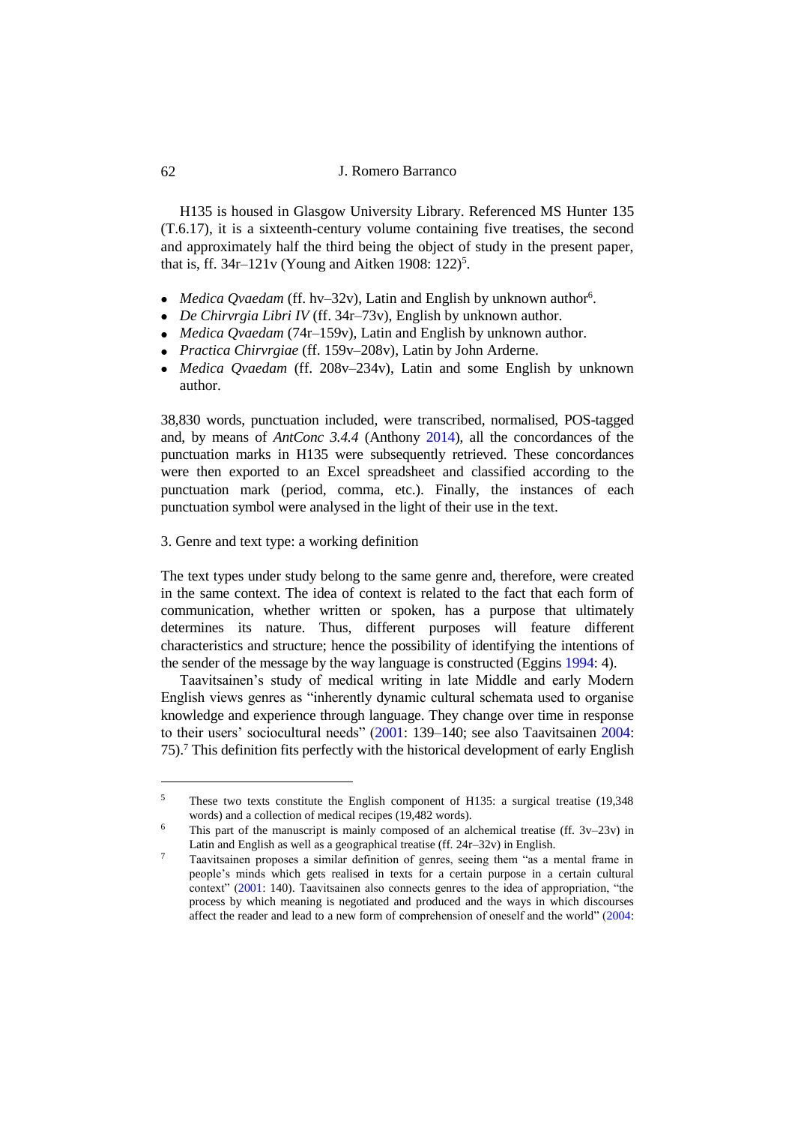H135 is housed in Glasgow University Library. Referenced MS Hunter 135 (T.6.17), it is a sixteenth-century volume containing five treatises, the second and approximately half the third being the object of study in the present paper, that is, ff.  $34r-121v$  (Young and Aitken 1908: 122)<sup>5</sup>.

- Medica Qvaedam (ff. hv-32v), Latin and English by unknown author<sup>6</sup>.
- *De Chirvrgia Libri IV* (ff. 34r–73v), English by unknown author.
- *Medica Qvaedam* (74r–159v), Latin and English by unknown author.
- *Practica Chirvrgiae* (ff. 159v–208v), Latin by John Arderne.
- *Medica Qvaedam* (ff. 208v–234v), Latin and some English by unknown author.

38,830 words, punctuation included, were transcribed, normalised, POS-tagged and, by means of *AntConc 3.4.4* (Anthony [2014\)](#page-19-7), all the concordances of the punctuation marks in H135 were subsequently retrieved. These concordances were then exported to an Excel spreadsheet and classified according to the punctuation mark (period, comma, etc.). Finally, the instances of each punctuation symbol were analysed in the light of their use in the text.

3. Genre and text type: a working definition

The text types under study belong to the same genre and, therefore, were created in the same context. The idea of context is related to the fact that each form of communication, whether written or spoken, has a purpose that ultimately determines its nature. Thus, different purposes will feature different characteristics and structure; hence the possibility of identifying the intentions of the sender of the message by the way language is constructed (Eggins [1994:](#page-19-8) 4).

Taavitsainen's study of medical writing in late Middle and early Modern English views genres as "inherently dynamic cultural schemata used to organise knowledge and experience through language. They change over time in response to their users' sociocultural needs" [\(2001:](#page-20-6) 139–140; see also Taavitsainen [2004:](#page-20-7) 75).<sup>7</sup> This definition fits perfectly with the historical development of early English

<sup>5</sup> These two texts constitute the English component of H135: a surgical treatise (19,348 words) and a collection of medical recipes (19,482 words).

<sup>&</sup>lt;sup>6</sup> This part of the manuscript is mainly composed of an alchemical treatise (ff.  $3v-23v$ ) in Latin and English as well as a geographical treatise (ff. 24r–32v) in English.

<sup>7</sup> Taavitsainen proposes a similar definition of genres, seeing them "as a mental frame in people's minds which gets realised in texts for a certain purpose in a certain cultural context" [\(2001:](#page-20-6) 140). Taavitsainen also connects genres to the idea of appropriation, "the process by which meaning is negotiated and produced and the ways in which discourses affect the reader and lead to a new form of comprehension of oneself and the world" [\(2004:](#page-20-7)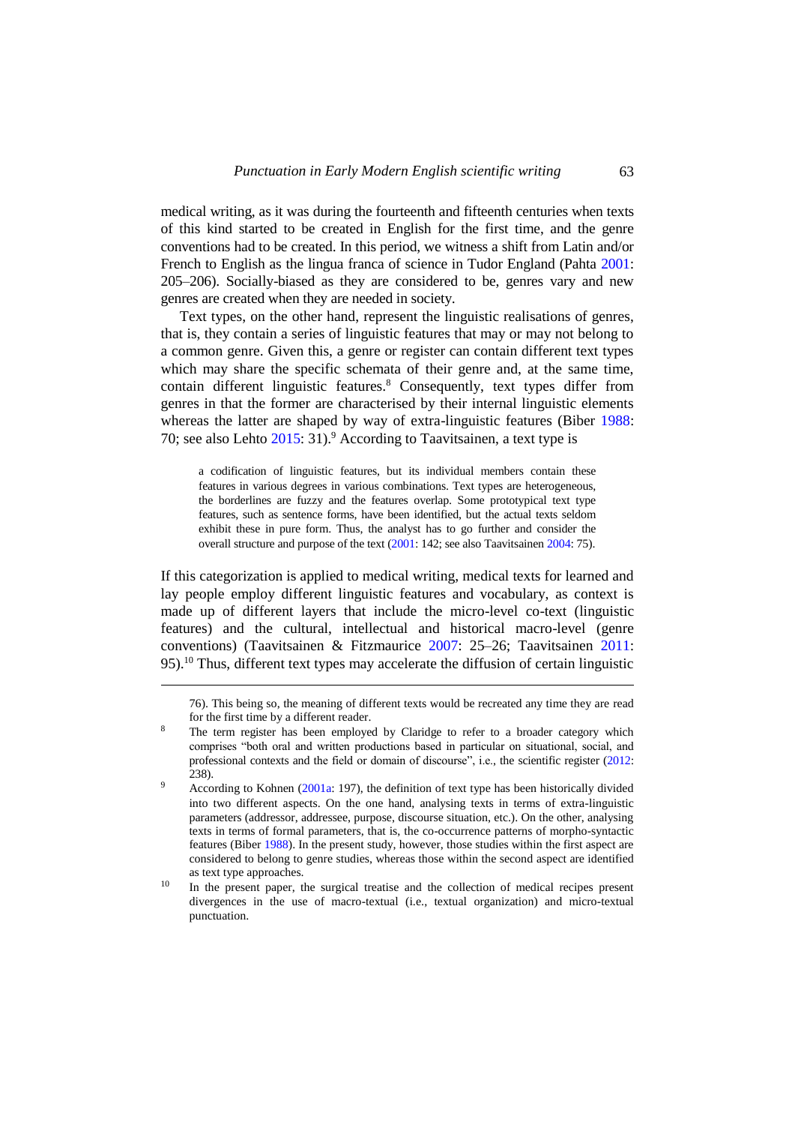medical writing, as it was during the fourteenth and fifteenth centuries when texts of this kind started to be created in English for the first time, and the genre conventions had to be created. In this period, we witness a shift from Latin and/or French to English as the lingua franca of science in Tudor England (Pahta [2001:](#page-20-8) 205–206). Socially-biased as they are considered to be, genres vary and new genres are created when they are needed in society.

Text types, on the other hand, represent the linguistic realisations of genres, that is, they contain a series of linguistic features that may or may not belong to a common genre. Given this, a genre or register can contain different text types which may share the specific schemata of their genre and, at the same time, contain different linguistic features.<sup>8</sup> Consequently, text types differ from genres in that the former are characterised by their internal linguistic elements whereas the latter are shaped by way of extra-linguistic features (Biber [1988:](#page-19-9) 70; see also Lehto [2015:](#page-19-10) 31).<sup>9</sup> According to Taavitsainen, a text type is

a codification of linguistic features, but its individual members contain these features in various degrees in various combinations. Text types are heterogeneous, the borderlines are fuzzy and the features overlap. Some prototypical text type features, such as sentence forms, have been identified, but the actual texts seldom exhibit these in pure form. Thus, the analyst has to go further and consider the overall structure and purpose of the text [\(2001:](#page-20-6) 142; see also Taavitsaine[n 2004:](#page-20-7) 75).

If this categorization is applied to medical writing, medical texts for learned and lay people employ different linguistic features and vocabulary, as context is made up of different layers that include the micro-level co-text (linguistic features) and the cultural, intellectual and historical macro-level (genre conventions) (Taavitsainen & Fitzmaurice [2007:](#page-20-9) 25–26; Taavitsainen [2011:](#page-20-10) 95).<sup>10</sup> Thus, different text types may accelerate the diffusion of certain linguistic

 $\overline{a}$ 

76). This being so, the meaning of different texts would be recreated any time they are read for the first time by a different reader.

<sup>&</sup>lt;sup>8</sup> The term register has been employed by Claridge to refer to a broader category which comprises "both oral and written productions based in particular on situational, social, and professional contexts and the field or domain of discourse", i.e., the scientific register [\(2012:](#page-19-11)  238).

 $\frac{9}{200}$  According to Kohnen [\(2001a:](#page-19-12) 197), the definition of text type has been historically divided into two different aspects. On the one hand, analysing texts in terms of extra-linguistic parameters (addressor, addressee, purpose, discourse situation, etc.). On the other, analysing texts in terms of formal parameters, that is, the co-occurrence patterns of morpho-syntactic features (Biber [1988\)](#page-19-9). In the present study, however, those studies within the first aspect are considered to belong to genre studies, whereas those within the second aspect are identified as text type approaches.

<sup>&</sup>lt;sup>10</sup> In the present paper, the surgical treatise and the collection of medical recipes present divergences in the use of macro-textual (i.e., textual organization) and micro-textual punctuation.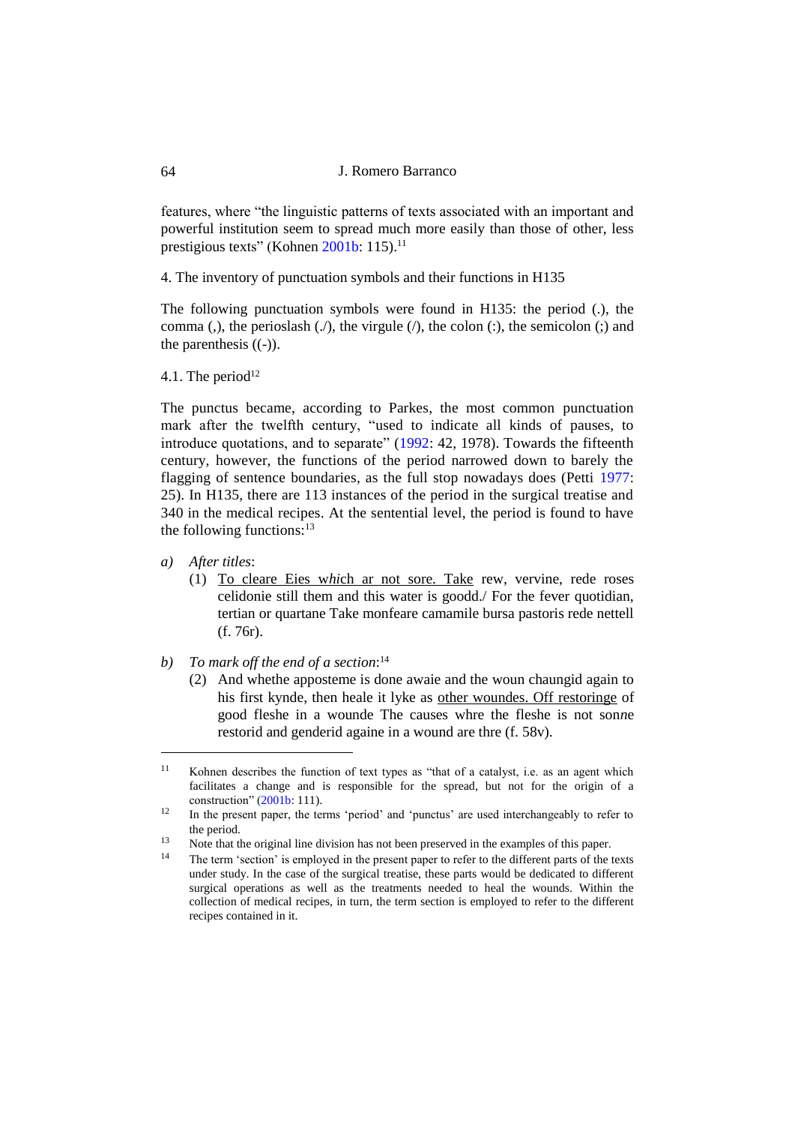features, where "the linguistic patterns of texts associated with an important and powerful institution seem to spread much more easily than those of other, less prestigious texts" (Kohnen [2001b:](#page-19-13) 115).<sup>11</sup>

4. The inventory of punctuation symbols and their functions in H135

The following punctuation symbols were found in H135: the period (.), the comma (,), the perioslash  $($ .), the virgule  $($ ), the colon  $($ ;), the semicolon  $($ ;) and the parenthesis  $((-)$ ).

4.1. The period $12$ 

The punctus became, according to Parkes, the most common punctuation mark after the twelfth century, "used to indicate all kinds of pauses, to introduce quotations, and to separate" [\(1992:](#page-20-11) 42, 1978). Towards the fifteenth century, however, the functions of the period narrowed down to barely the flagging of sentence boundaries, as the full stop nowadays does (Petti [1977:](#page-20-5) 25). In H135, there are 113 instances of the period in the surgical treatise and 340 in the medical recipes. At the sentential level, the period is found to have the following functions: $13$ 

*a) After titles*:

- (1) To cleare Eies w*hi*ch ar not sore. Take rew, vervine, rede roses celidonie still them and this water is goodd./ For the fever quotidian, tertian or quartane Take monfeare camamile bursa pastoris rede nettell (f. 76r).
- *b) To mark off the end of a section*: 14
	- (2) And whethe apposteme is done awaie and the woun chaungid again to his first kynde, then heale it lyke as other woundes. Off restoringe of good fleshe in a wounde The causes whre the fleshe is not son*n*e restorid and genderid againe in a wound are thre (f. 58v).

<sup>&</sup>lt;sup>11</sup> Kohnen describes the function of text types as "that of a catalyst, i.e. as an agent which facilitates a change and is responsible for the spread, but not for the origin of a construction" [\(2001b:](#page-19-13) 111).

<sup>&</sup>lt;sup>12</sup> In the present paper, the terms 'period' and 'punctus' are used interchangeably to refer to the period.

 $\frac{13}{14}$  Note that the original line division has not been preserved in the examples of this paper.

The term 'section' is employed in the present paper to refer to the different parts of the texts under study. In the case of the surgical treatise, these parts would be dedicated to different surgical operations as well as the treatments needed to heal the wounds. Within the collection of medical recipes, in turn, the term section is employed to refer to the different recipes contained in it.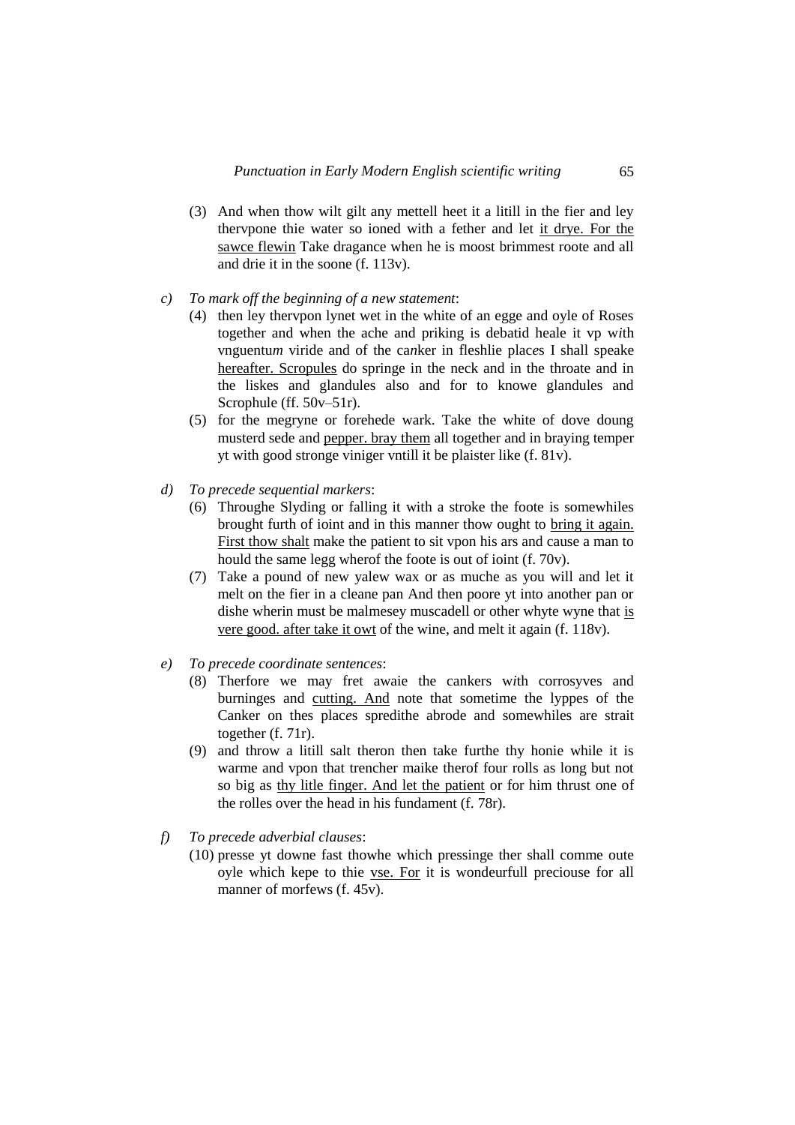- (3) And when thow wilt gilt any mettell heet it a litill in the fier and ley thervpone thie water so ioned with a fether and let it drye. For the sawce flewin Take dragance when he is moost brimmest roote and all and drie it in the soone (f. 113v).
- *c) To mark off the beginning of a new statement*:
	- (4) then ley thervpon lynet wet in the white of an egge and oyle of Roses together and when the ache and priking is debatid heale it vp w*i*th vnguentu*m* viride and of the ca*n*ker in fleshlie plac*e*s I shall speake hereafter. Scropules do springe in the neck and in the throate and in the liskes and glandules also and for to knowe glandules and Scrophule (ff. 50v–51r).
	- (5) for the megryne or forehede wark. Take the white of dove doung musterd sede and pepper. bray them all together and in braying temper yt with good stronge viniger vntill it be plaister like (f. 81v).
- *d) To precede sequential markers*:
	- (6) Throughe Slyding or falling it with a stroke the foote is somewhiles brought furth of ioint and in this manner thow ought to bring it again. First thow shalt make the patient to sit vpon his ars and cause a man to hould the same legg wherof the foote is out of ioint (f. 70v).
	- (7) Take a pound of new yalew wax or as muche as you will and let it melt on the fier in a cleane pan And then poore yt into another pan or dishe wherin must be malmesey muscadell or other whyte wyne that is vere good. after take it owt of the wine, and melt it again (f. 118v).
- *e) To precede coordinate sentences*:
	- (8) Therfore we may fret awaie the cankers w*i*th corrosyves and burninges and cutting. And note that sometime the lyppes of the Canker on thes plac*e*s spredithe abrode and somewhiles are strait together (f. 71r).
	- (9) and throw a litill salt theron then take furthe thy honie while it is warme and vpon that trencher maike therof four rolls as long but not so big as thy litle finger. And let the patient or for him thrust one of the rolles over the head in his fundament (f. 78r).
- *f) To precede adverbial clauses*:
	- (10) presse yt downe fast thowhe which pressinge ther shall comme oute oyle which kepe to thie vse. For it is wondeurfull preciouse for all manner of morfews (f. 45v).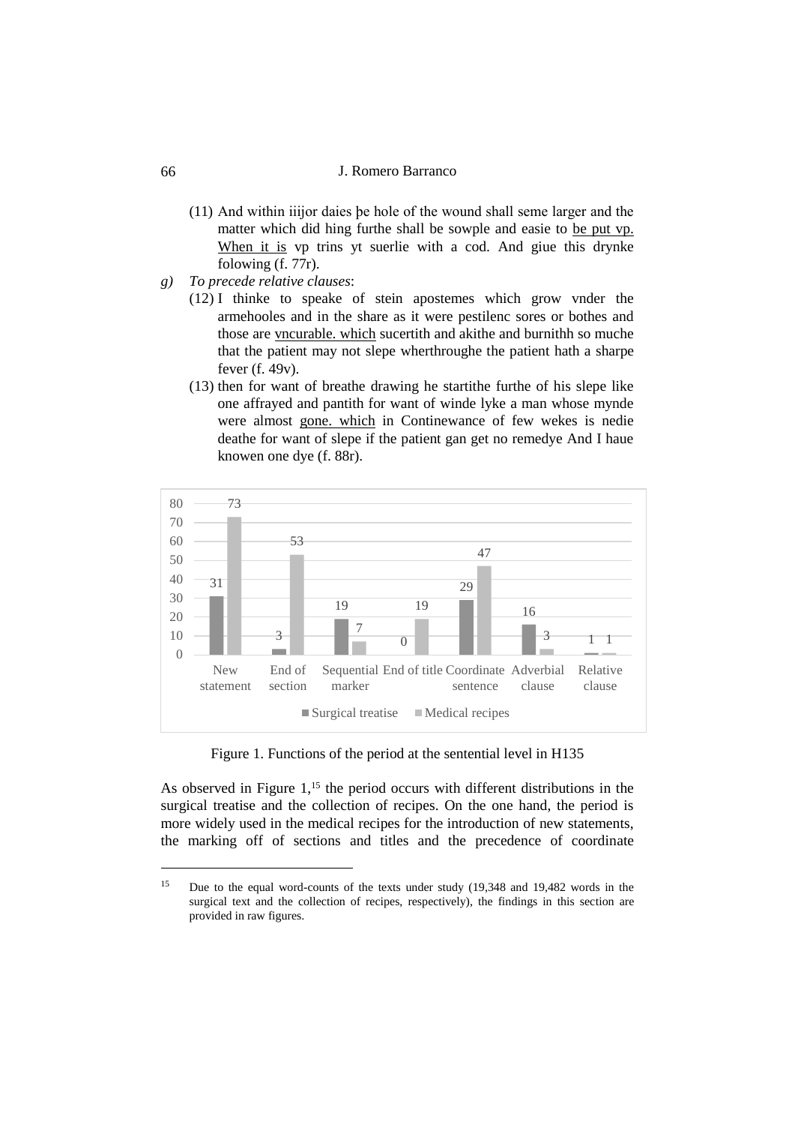- (11) And within iiijor daies þe hole of the wound shall seme larger and the matter which did hing furthe shall be sowple and easie to be put vp. When it is vp trins yt suerlie with a cod. And giue this drynke folowing (f. 77r).
- *g) To precede relative clauses*:
	- (12) I thinke to speake of stein apostemes which grow vnder the armehooles and in the share as it were pestilenc sores or bothes and those are vncurable. which sucertith and akithe and burnithh so muche that the patient may not slepe wherthroughe the patient hath a sharpe fever (f. 49v).
	- (13) then for want of breathe drawing he startithe furthe of his slepe like one affrayed and pantith for want of winde lyke a man whose mynde were almost gone. which in Continewance of few wekes is nedie deathe for want of slepe if the patient gan get no remedye And I haue knowen one dye (f. 88r).



Figure 1. Functions of the period at the sentential level in H135

As observed in Figure  $1<sup>15</sup>$ , the period occurs with different distributions in the surgical treatise and the collection of recipes. On the one hand, the period is more widely used in the medical recipes for the introduction of new statements, the marking off of sections and titles and the precedence of coordinate

<sup>15</sup> Due to the equal word-counts of the texts under study (19,348 and 19,482 words in the surgical text and the collection of recipes, respectively), the findings in this section are provided in raw figures.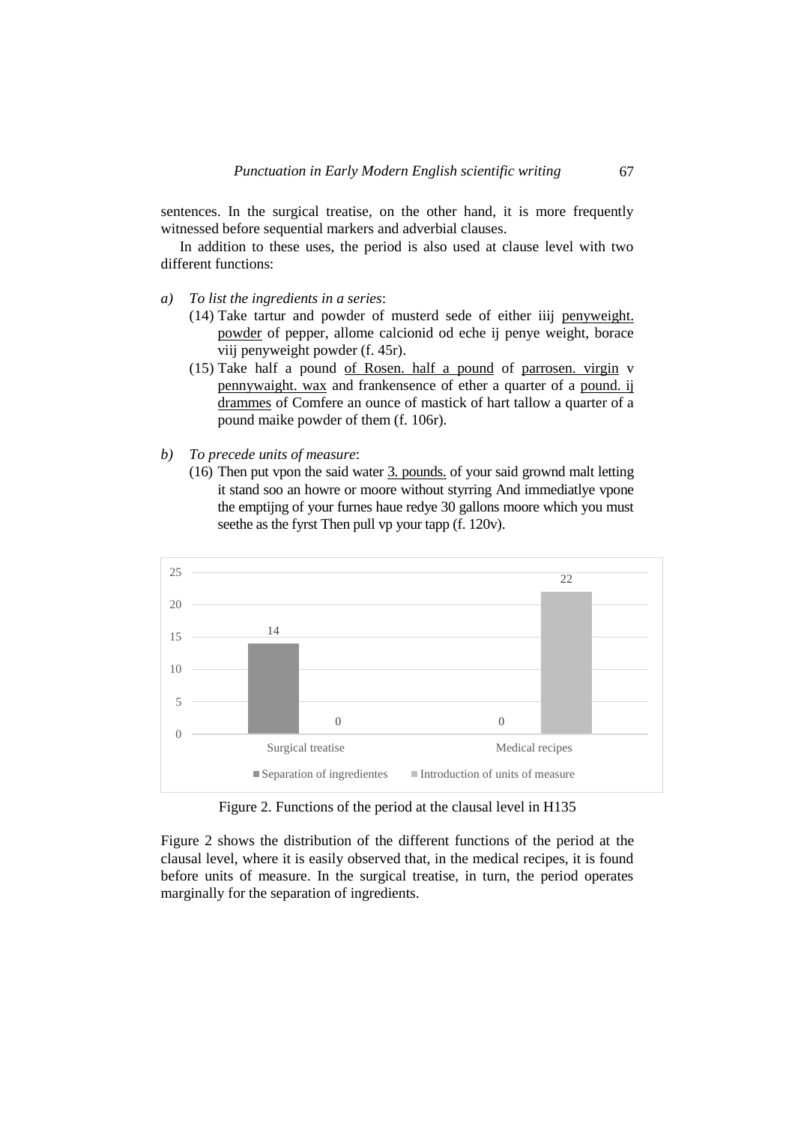sentences. In the surgical treatise, on the other hand, it is more frequently witnessed before sequential markers and adverbial clauses.

In addition to these uses, the period is also used at clause level with two different functions:

- *a) To list the ingredients in a series*:
	- (14) Take tartur and powder of musterd sede of either iiij penyweight. powder of pepper, allome calcionid od eche ij penye weight, borace viij penyweight powder (f. 45r).
	- (15) Take half a pound of Rosen. half a pound of parrosen. virgin v pennywaight. wax and frankensence of ether a quarter of a pound. ij drammes of Comfere an ounce of mastick of hart tallow a quarter of a pound maike powder of them (f. 106r).
- *b) To precede units of measure*:
	- (16) Then put vpon the said water 3. pounds. of your said grownd malt letting it stand soo an howre or moore without styrring And immediatlye vpone the emptijng of your furnes haue redye 30 gallons moore which you must seethe as the fyrst Then pull vp your tapp (f. 120v).



Figure 2. Functions of the period at the clausal level in H135

Figure 2 shows the distribution of the different functions of the period at the clausal level, where it is easily observed that, in the medical recipes, it is found before units of measure. In the surgical treatise, in turn, the period operates marginally for the separation of ingredients.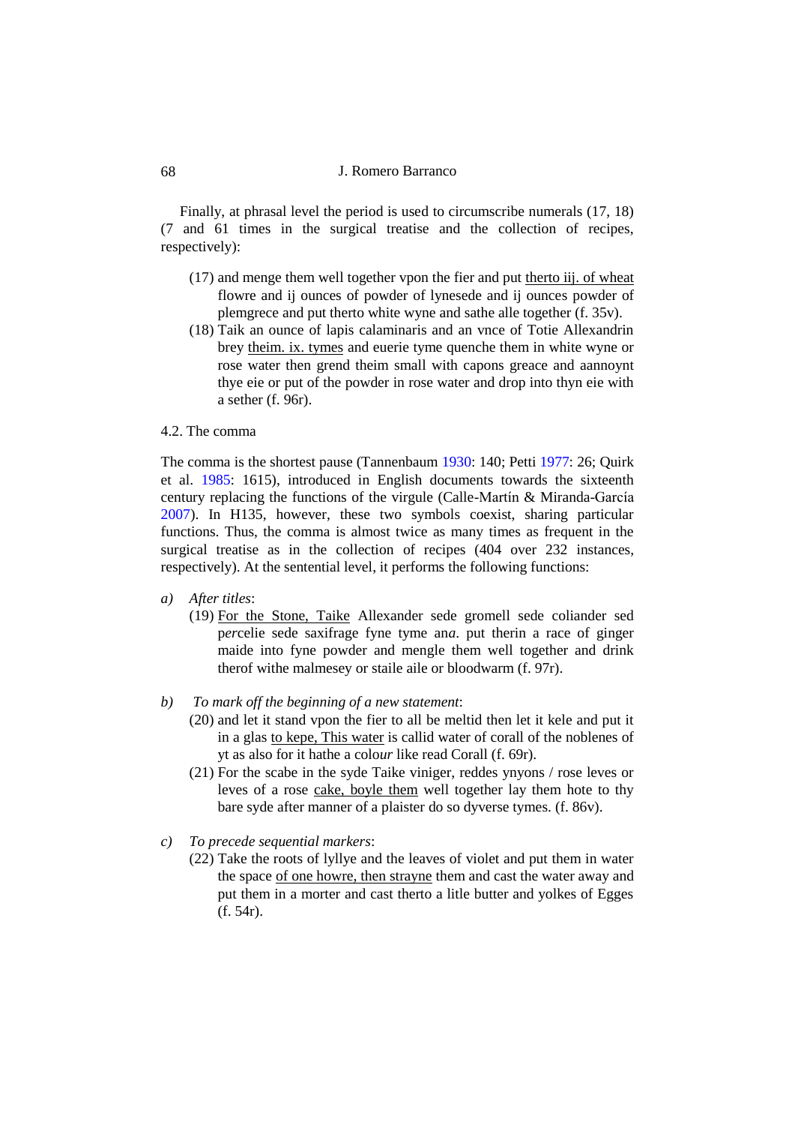Finally, at phrasal level the period is used to circumscribe numerals (17, 18) (7 and 61 times in the surgical treatise and the collection of recipes, respectively):

- (17) and menge them well together vpon the fier and put therto iij. of wheat flowre and ij ounces of powder of lynesede and ij ounces powder of plemgrece and put therto white wyne and sathe alle together (f. 35v).
- (18) Taik an ounce of lapis calaminaris and an vnce of Totie Allexandrin brey theim. ix. tymes and euerie tyme quenche them in white wyne or rose water then grend theim small with capons greace and aannoynt thye eie or put of the powder in rose water and drop into thyn eie with a sether (f. 96r).

## 4.2. The comma

The comma is the shortest pause (Tannenbaum [1930:](#page-20-12) 140; Petti [1977:](#page-20-5) 26; Quirk et al. [1985:](#page-20-13) 1615), introduced in English documents towards the sixteenth century replacing the functions of the virgule (Calle-Martín & Miranda-García [2007\)](#page-19-4). In H135, however, these two symbols coexist, sharing particular functions. Thus, the comma is almost twice as many times as frequent in the surgical treatise as in the collection of recipes (404 over 232 instances, respectively). At the sentential level, it performs the following functions:

#### *a) After titles*:

- (19) For the Stone, Taike Allexander sede gromell sede coliander sed p*er*celie sede saxifrage fyne tyme an*a*. put therin a race of ginger maide into fyne powder and mengle them well together and drink therof withe malmesey or staile aile or bloodwarm (f. 97r).
- *b) To mark off the beginning of a new statement*:
	- (20) and let it stand vpon the fier to all be meltid then let it kele and put it in a glas to kepe, This water is callid water of corall of the noblenes of yt as also for it hathe a colo*ur* like read Corall (f. 69r).
	- (21) For the scabe in the syde Taike viniger, reddes ynyons / rose leves or leves of a rose cake, boyle them well together lay them hote to thy bare syde after manner of a plaister do so dyverse tymes. (f. 86v).
- *c) To precede sequential markers*:
	- (22) Take the roots of lyllye and the leaves of violet and put them in water the space of one howre, then strayne them and cast the water away and put them in a morter and cast therto a litle butter and yolkes of Egges (f. 54r).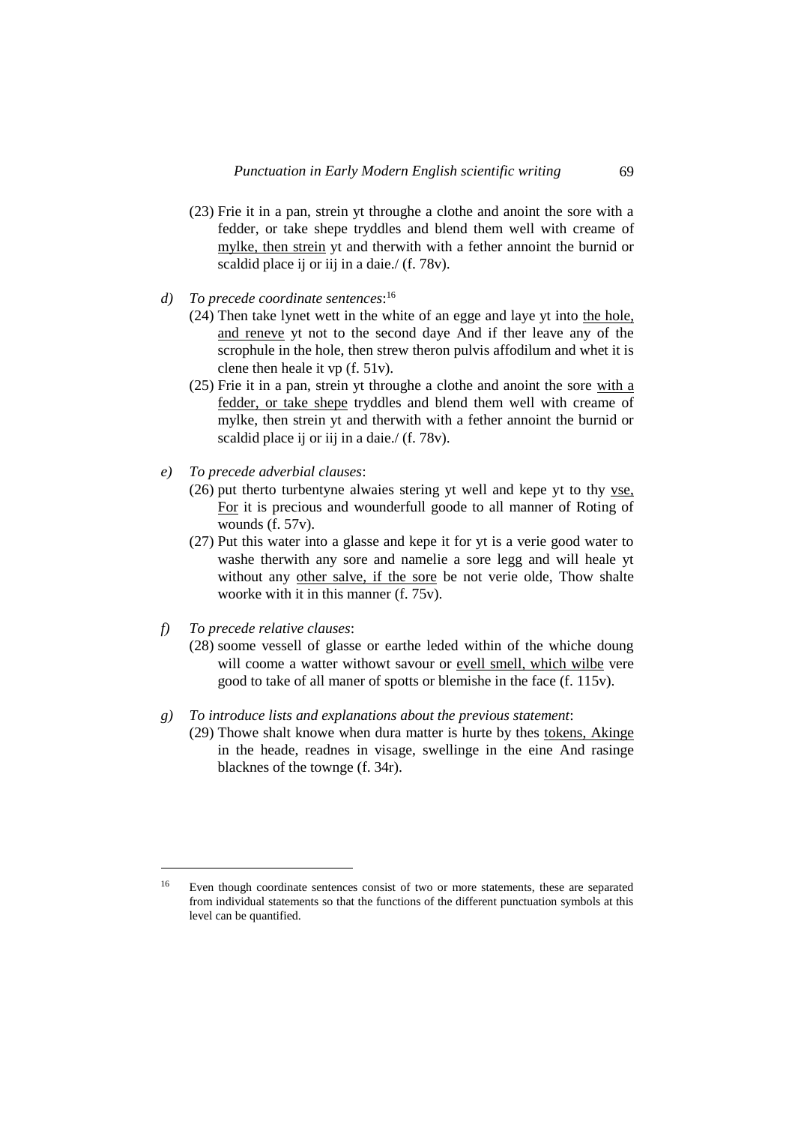- (23) Frie it in a pan, strein yt throughe a clothe and anoint the sore with a fedder, or take shepe tryddles and blend them well with creame of mylke, then strein yt and therwith with a fether annoint the burnid or scaldid place ij or iij in a daie./ (f. 78v).
- *d) To precede coordinate sentences*: 16
	- (24) Then take lynet wett in the white of an egge and laye yt into the hole, and reneve yt not to the second daye And if ther leave any of the scrophule in the hole, then strew theron pulvis affodilum and whet it is clene then heale it vp (f. 51v).
	- (25) Frie it in a pan, strein yt throughe a clothe and anoint the sore with a fedder, or take shepe tryddles and blend them well with creame of mylke, then strein yt and therwith with a fether annoint the burnid or scaldid place ij or iij in a daie./ (f. 78v).
- *e) To precede adverbial clauses*:
	- (26) put therto turbentyne alwaies stering yt well and kepe yt to thy vse, For it is precious and wounderfull goode to all manner of Roting of wounds (f. 57v).
	- (27) Put this water into a glasse and kepe it for yt is a verie good water to washe therwith any sore and namelie a sore legg and will heale yt without any other salve, if the sore be not verie olde, Thow shalte woorke with it in this manner (f. 75v).
- *f) To precede relative clauses*:

- (28) soome vessell of glasse or earthe leded within of the whiche doung will coome a watter withowt savour or evell smell, which wilbe vere good to take of all maner of spotts or blemishe in the face (f. 115v).
- *g) To introduce lists and explanations about the previous statement*:
	- (29) Thowe shalt knowe when dura matter is hurte by thes tokens, Akinge in the heade, readnes in visage, swellinge in the eine And rasinge blacknes of the townge (f. 34r).

<sup>16</sup> Even though coordinate sentences consist of two or more statements, these are separated from individual statements so that the functions of the different punctuation symbols at this level can be quantified.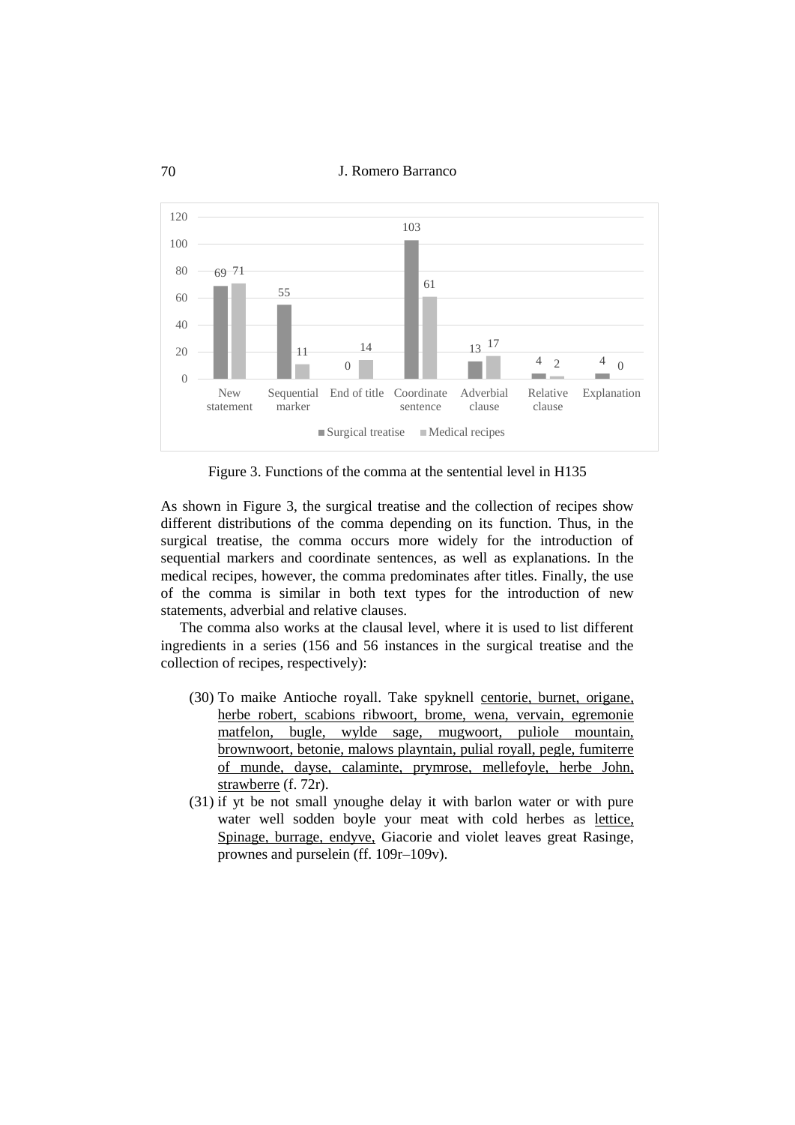70 J. Romero Barranco



Figure 3. Functions of the comma at the sentential level in H135

As shown in Figure 3, the surgical treatise and the collection of recipes show different distributions of the comma depending on its function. Thus, in the surgical treatise, the comma occurs more widely for the introduction of sequential markers and coordinate sentences, as well as explanations. In the medical recipes, however, the comma predominates after titles. Finally, the use of the comma is similar in both text types for the introduction of new statements, adverbial and relative clauses.

The comma also works at the clausal level, where it is used to list different ingredients in a series (156 and 56 instances in the surgical treatise and the collection of recipes, respectively):

- (30) To maike Antioche royall. Take spyknell centorie, burnet, origane, herbe robert, scabions ribwoort, brome, wena, vervain, egremonie matfelon, bugle, wylde sage, mugwoort, puliole mountain, brownwoort, betonie, malows playntain, pulial royall, pegle, fumiterre of munde, dayse, calaminte, prymrose, mellefoyle, herbe John, strawberre (f. 72r).
- (31) if yt be not small ynoughe delay it with barlon water or with pure water well sodden boyle your meat with cold herbes as lettice, Spinage, burrage, endyve, Giacorie and violet leaves great Rasinge, prownes and purselein (ff. 109r–109v).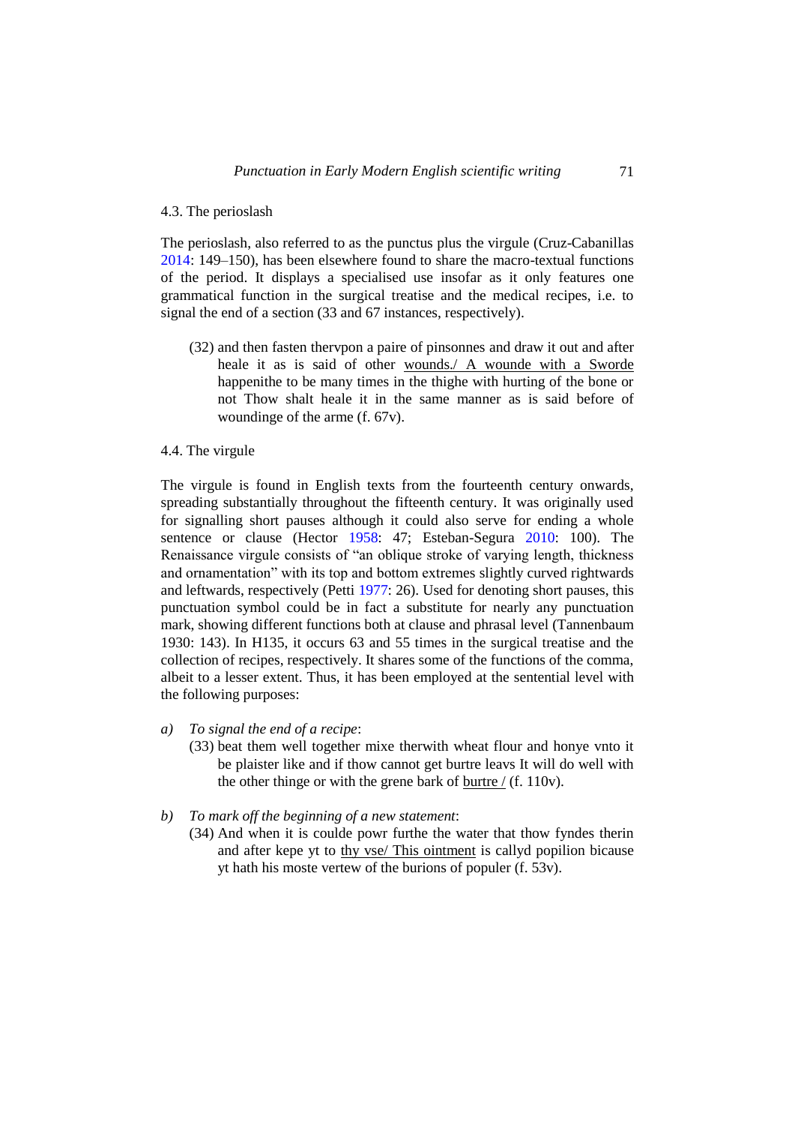#### 4.3. The perioslash

The perioslash, also referred to as the punctus plus the virgule (Cruz-Cabanillas [2014:](#page-19-14) 149–150), has been elsewhere found to share the macro-textual functions of the period. It displays a specialised use insofar as it only features one grammatical function in the surgical treatise and the medical recipes, i.e. to signal the end of a section (33 and 67 instances, respectively).

(32) and then fasten thervpon a paire of pinsonnes and draw it out and after heale it as is said of other wounds./ A wounde with a Sworde happenithe to be many times in the thighe with hurting of the bone or not Thow shalt heale it in the same manner as is said before of woundinge of the arme (f. 67v).

### 4.4. The virgule

The virgule is found in English texts from the fourteenth century onwards, spreading substantially throughout the fifteenth century. It was originally used for signalling short pauses although it could also serve for ending a whole sentence or clause (Hector [1958:](#page-19-15) 47; Esteban-Segura [2010:](#page-19-16) 100). The Renaissance virgule consists of "an oblique stroke of varying length, thickness and ornamentation" with its top and bottom extremes slightly curved rightwards and leftwards, respectively (Petti [1977:](#page-20-5) 26). Used for denoting short pauses, this punctuation symbol could be in fact a substitute for nearly any punctuation mark, showing different functions both at clause and phrasal level (Tannenbaum 1930: 143). In H135, it occurs 63 and 55 times in the surgical treatise and the collection of recipes, respectively. It shares some of the functions of the comma, albeit to a lesser extent. Thus, it has been employed at the sentential level with the following purposes:

#### *a) To signal the end of a recipe*:

- (33) beat them well together mixe therwith wheat flour and honye vnto it be plaister like and if thow cannot get burtre leavs It will do well with the other thinge or with the grene bark of burtre  $/$  (f. 110v).
- *b) To mark off the beginning of a new statement*:
	- (34) And when it is coulde powr furthe the water that thow fyndes therin and after kepe yt to thy vse/ This ointment is callyd popilion bicause yt hath his moste vertew of the burions of populer (f. 53v).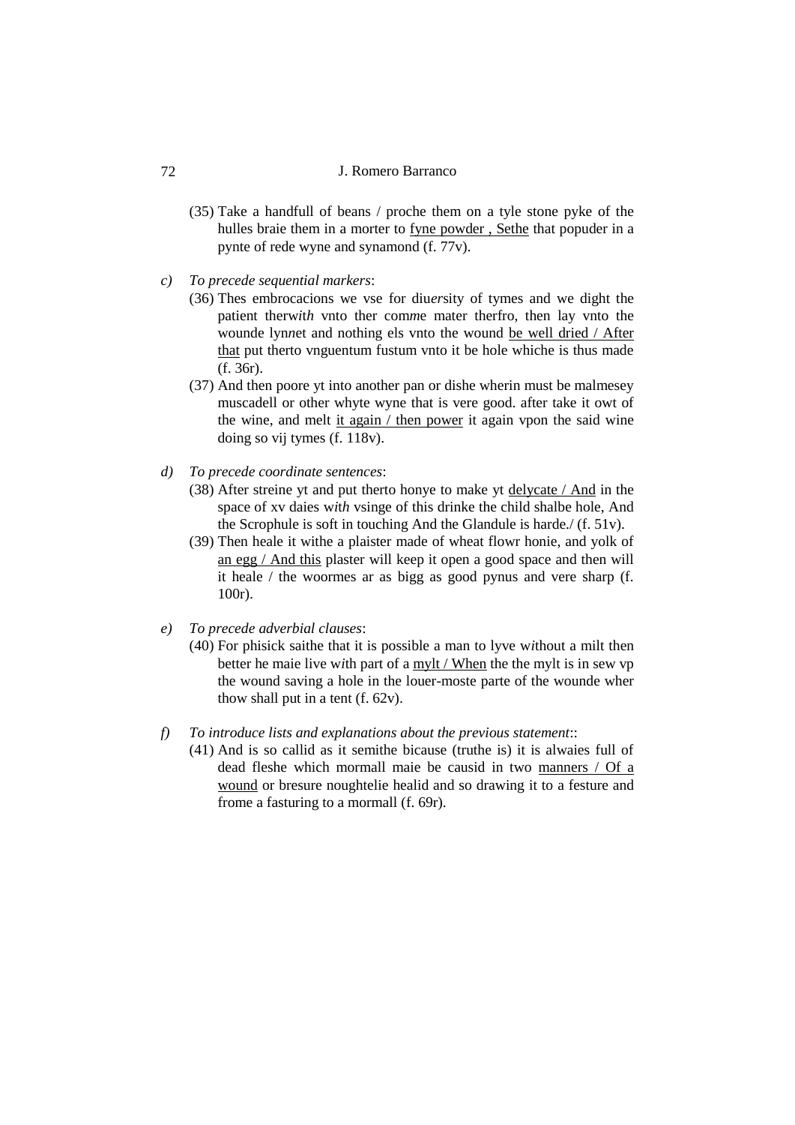- (35) Take a handfull of beans / proche them on a tyle stone pyke of the hulles braie them in a morter to fyne powder , Sethe that popuder in a pynte of rede wyne and synamond (f. 77v).
- *c) To precede sequential markers*:
	- (36) Thes embrocacions we vse for diu*er*sity of tymes and we dight the patient therw*i*t*h* vnto ther com*m*e mater therfro, then lay vnto the wounde lyn*n*et and nothing els vnto the wound be well dried / After that put therto vnguentum fustum vnto it be hole whiche is thus made (f. 36r).
	- (37) And then poore yt into another pan or dishe wherin must be malmesey muscadell or other whyte wyne that is vere good. after take it owt of the wine, and melt it again / then power it again vpon the said wine doing so vij tymes (f. 118v).
- *d) To precede coordinate sentences*:
	- (38) After streine yt and put therto honye to make yt delycate / And in the space of xv daies w*i*t*h* vsinge of this drinke the child shalbe hole, And the Scrophule is soft in touching And the Glandule is harde./ (f. 51v).
	- (39) Then heale it withe a plaister made of wheat flowr honie, and yolk of an egg / And this plaster will keep it open a good space and then will it heale / the woormes ar as bigg as good pynus and vere sharp (f. 100r).
- *e) To precede adverbial clauses*:
	- (40) For phisick saithe that it is possible a man to lyve w*i*thout a milt then better he maie live w*i*th part of a mylt / When the the mylt is in sew vp the wound saving a hole in the louer-moste parte of the wounde wher thow shall put in a tent  $(f. 62v)$ .
- *f) To introduce lists and explanations about the previous statement*::
	- (41) And is so callid as it semithe bicause (truthe is) it is alwaies full of dead fleshe which mormall maie be causid in two manners / Of a wound or bresure noughtelie healid and so drawing it to a festure and frome a fasturing to a mormall (f. 69r).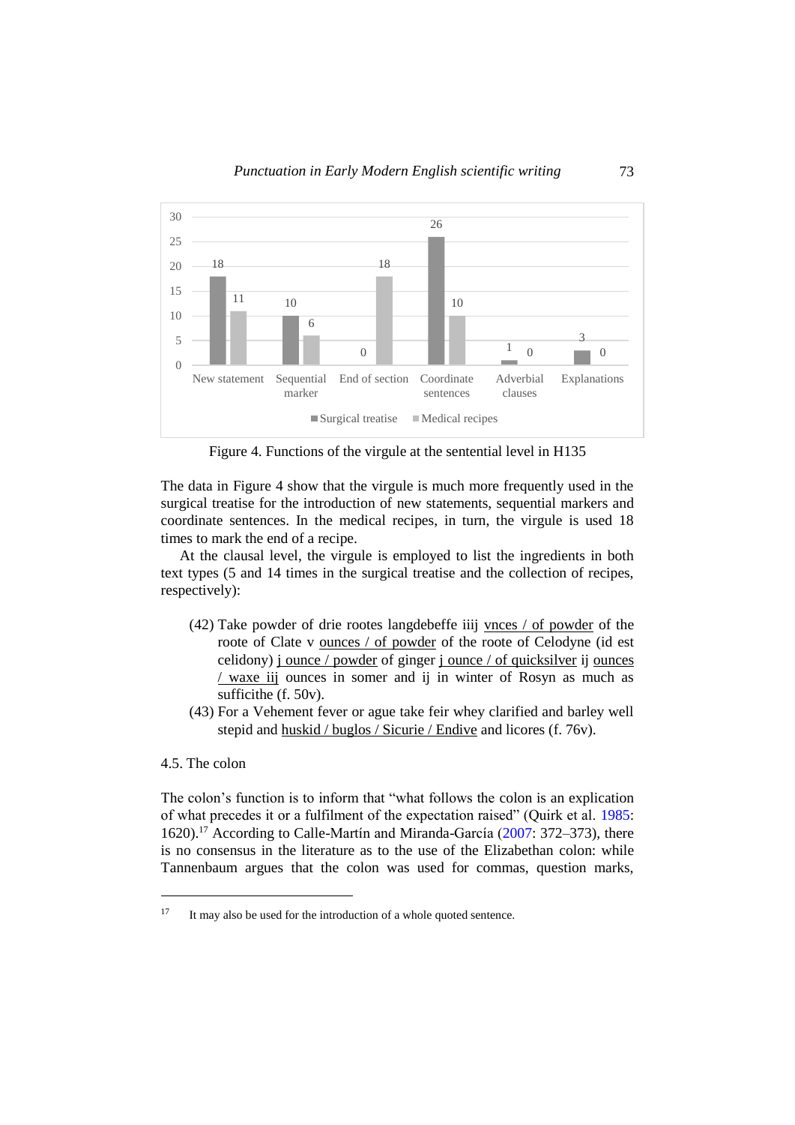

Figure 4. Functions of the virgule at the sentential level in H135

The data in Figure 4 show that the virgule is much more frequently used in the surgical treatise for the introduction of new statements, sequential markers and coordinate sentences. In the medical recipes, in turn, the virgule is used 18 times to mark the end of a recipe.

At the clausal level, the virgule is employed to list the ingredients in both text types (5 and 14 times in the surgical treatise and the collection of recipes, respectively):

- (42) Take powder of drie rootes langdebeffe iiij vnces / of powder of the roote of Clate v ounces / of powder of the roote of Celodyne (id est celidony) j ounce / powder of ginger j ounce / of quicksilver ij ounces / waxe iij ounces in somer and ij in winter of Rosyn as much as sufficithe (f. 50v).
- (43) For a Vehement fever or ague take feir whey clarified and barley well stepid and huskid / buglos / Sicurie / Endive and licores (f. 76v).

## 4.5. The colon

 $\overline{a}$ 

The colon's function is to inform that "what follows the colon is an explication of what precedes it or a fulfilment of the expectation raised" (Quirk et al. [1985:](#page-20-13) 1620).<sup>17</sup> According to Calle-Martín and Miranda-García [\(2007:](#page-19-4) 372–373), there is no consensus in the literature as to the use of the Elizabethan colon: while Tannenbaum argues that the colon was used for commas, question marks,

<sup>&</sup>lt;sup>17</sup> It may also be used for the introduction of a whole quoted sentence.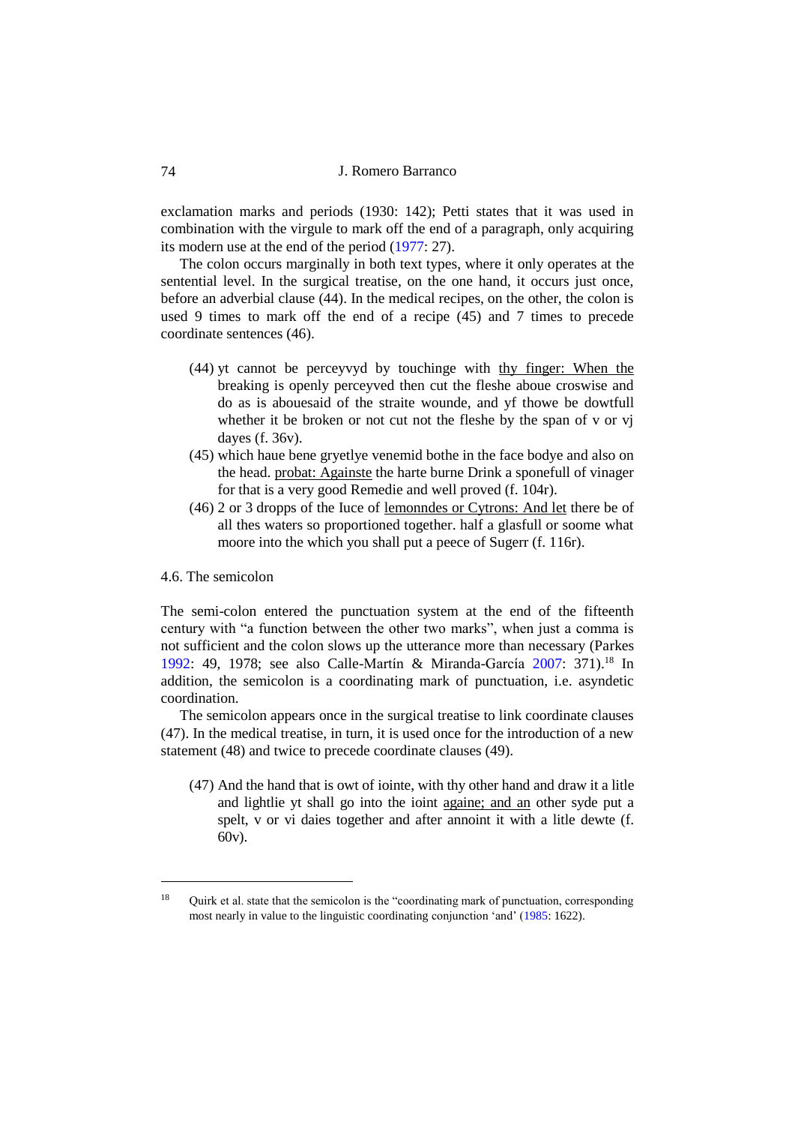exclamation marks and periods (1930: 142); Petti states that it was used in combination with the virgule to mark off the end of a paragraph, only acquiring its modern use at the end of the period [\(1977:](#page-20-5) 27).

The colon occurs marginally in both text types, where it only operates at the sentential level. In the surgical treatise, on the one hand, it occurs just once, before an adverbial clause (44). In the medical recipes, on the other, the colon is used 9 times to mark off the end of a recipe (45) and 7 times to precede coordinate sentences (46).

- (44) yt cannot be perceyvyd by touchinge with thy finger: When the breaking is openly perceyved then cut the fleshe aboue croswise and do as is abouesaid of the straite wounde, and yf thowe be dowtfull whether it be broken or not cut not the fleshe by the span of v or vi dayes (f. 36v).
- (45) which haue bene gryetlye venemid bothe in the face bodye and also on the head. probat: Againste the harte burne Drink a sponefull of vinager for that is a very good Remedie and well proved (f. 104r).
- (46) 2 or 3 dropps of the Iuce of lemonndes or Cytrons: And let there be of all thes waters so proportioned together. half a glasfull or soome what moore into the which you shall put a peece of Sugerr (f. 116r).

## 4.6. The semicolon

 $\overline{a}$ 

The semi-colon entered the punctuation system at the end of the fifteenth century with "a function between the other two marks", when just a comma is not sufficient and the colon slows up the utterance more than necessary (Parkes [1992:](#page-20-11) 49, 1978; see also Calle-Martín & Miranda-García [2007:](#page-19-4) 371).<sup>18</sup> In addition, the semicolon is a coordinating mark of punctuation, i.e. asyndetic coordination.

The semicolon appears once in the surgical treatise to link coordinate clauses (47). In the medical treatise, in turn, it is used once for the introduction of a new statement (48) and twice to precede coordinate clauses (49).

(47) And the hand that is owt of iointe, with thy other hand and draw it a litle and lightlie yt shall go into the ioint againe; and an other syde put a spelt, v or vi daies together and after annoint it with a litle dewte (f. 60v).

<sup>&</sup>lt;sup>18</sup> Ouirk et al. state that the semicolon is the "coordinating mark of punctuation, corresponding most nearly in value to the linguistic coordinating conjunction 'and' [\(1985:](#page-20-13) 1622).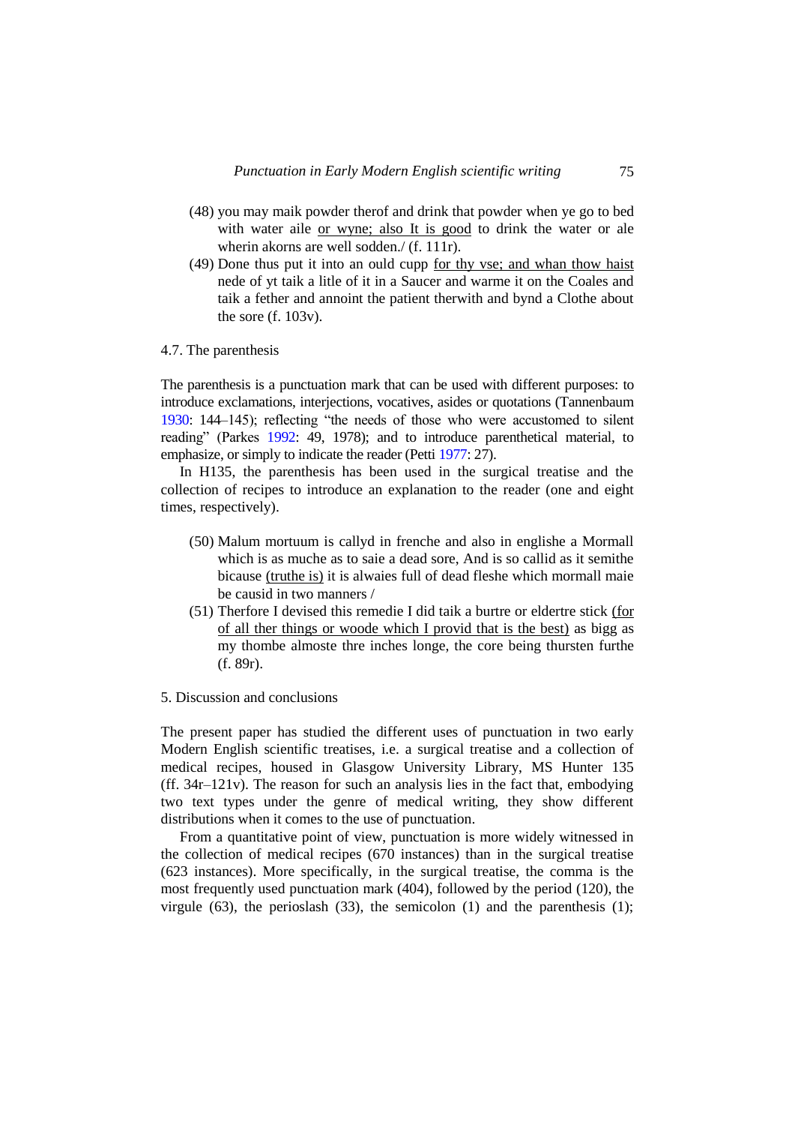- (48) you may maik powder therof and drink that powder when ye go to bed with water aile or wyne; also It is good to drink the water or ale wherin akorns are well sodden./ (f. 111r).
- (49) Done thus put it into an ould cupp for thy vse; and whan thow haist nede of yt taik a litle of it in a Saucer and warme it on the Coales and taik a fether and annoint the patient therwith and bynd a Clothe about the sore (f. 103v).

#### 4.7. The parenthesis

The parenthesis is a punctuation mark that can be used with different purposes: to introduce exclamations, interjections, vocatives, asides or quotations (Tannenbaum [1930:](#page-20-12) 144–145); reflecting "the needs of those who were accustomed to silent reading" (Parkes [1992:](#page-20-11) 49, 1978); and to introduce parenthetical material, to emphasize, or simply to indicate the reader (Pett[i 1977:](#page-20-5) 27).

In H135, the parenthesis has been used in the surgical treatise and the collection of recipes to introduce an explanation to the reader (one and eight times, respectively).

- (50) Malum mortuum is callyd in frenche and also in englishe a Mormall which is as muche as to saie a dead sore, And is so callid as it semithe bicause (truthe is) it is alwaies full of dead fleshe which mormall maie be causid in two manners /
- (51) Therfore I devised this remedie I did taik a burtre or eldertre stick (for of all ther things or woode which I provid that is the best) as bigg as my thombe almoste thre inches longe, the core being thursten furthe (f. 89r).
- 5. Discussion and conclusions

The present paper has studied the different uses of punctuation in two early Modern English scientific treatises, i.e. a surgical treatise and a collection of medical recipes, housed in Glasgow University Library, MS Hunter 135 (ff. 34r–121v). The reason for such an analysis lies in the fact that, embodying two text types under the genre of medical writing, they show different distributions when it comes to the use of punctuation.

From a quantitative point of view, punctuation is more widely witnessed in the collection of medical recipes (670 instances) than in the surgical treatise (623 instances). More specifically, in the surgical treatise, the comma is the most frequently used punctuation mark (404), followed by the period (120), the virgule  $(63)$ , the perioslash  $(33)$ , the semicolon  $(1)$  and the parenthesis  $(1)$ ;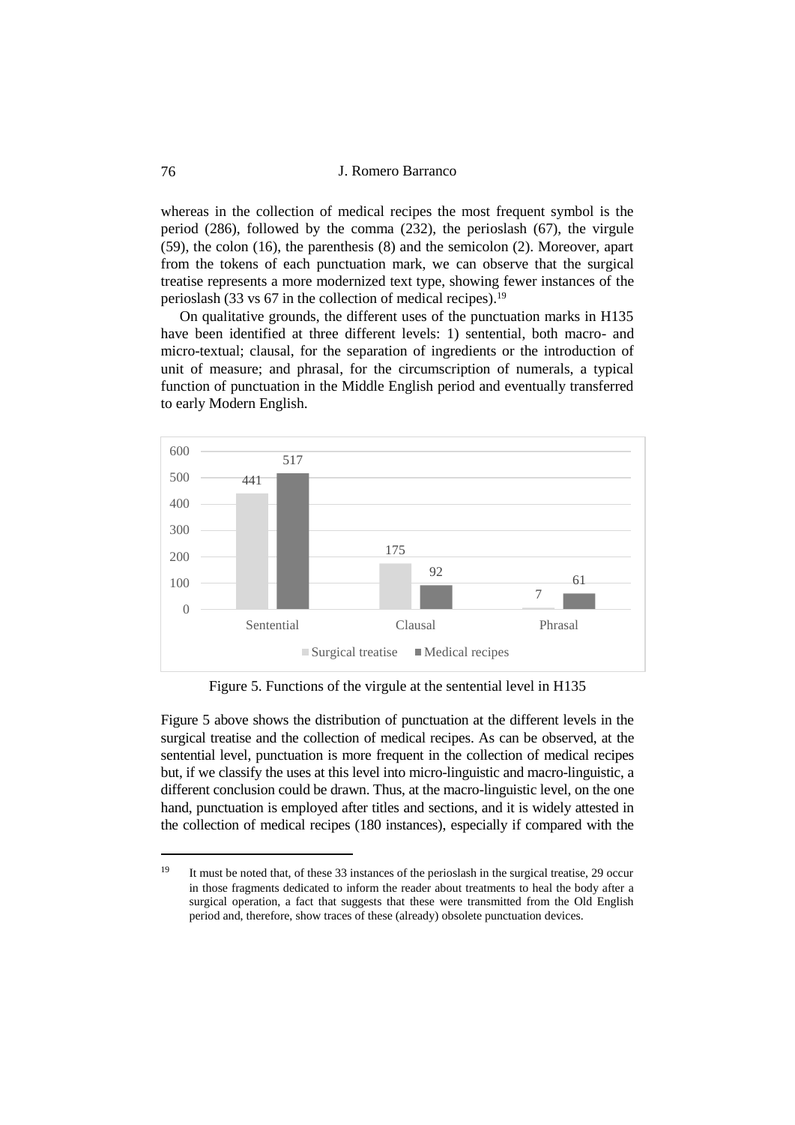whereas in the collection of medical recipes the most frequent symbol is the period (286), followed by the comma (232), the perioslash (67), the virgule (59), the colon (16), the parenthesis (8) and the semicolon (2). Moreover, apart from the tokens of each punctuation mark, we can observe that the surgical treatise represents a more modernized text type, showing fewer instances of the perioslash (33 vs  $67$  in the collection of medical recipes).<sup>19</sup>

On qualitative grounds, the different uses of the punctuation marks in H135 have been identified at three different levels: 1) sentential, both macro- and micro-textual; clausal, for the separation of ingredients or the introduction of unit of measure; and phrasal, for the circumscription of numerals, a typical function of punctuation in the Middle English period and eventually transferred to early Modern English.



Figure 5. Functions of the virgule at the sentential level in H135

Figure 5 above shows the distribution of punctuation at the different levels in the surgical treatise and the collection of medical recipes. As can be observed, at the sentential level, punctuation is more frequent in the collection of medical recipes but, if we classify the uses at this level into micro-linguistic and macro-linguistic, a different conclusion could be drawn. Thus, at the macro-linguistic level, on the one hand, punctuation is employed after titles and sections, and it is widely attested in the collection of medical recipes (180 instances), especially if compared with the

<sup>&</sup>lt;sup>19</sup> It must be noted that, of these 33 instances of the perioslash in the surgical treatise, 29 occur in those fragments dedicated to inform the reader about treatments to heal the body after a surgical operation, a fact that suggests that these were transmitted from the Old English period and, therefore, show traces of these (already) obsolete punctuation devices.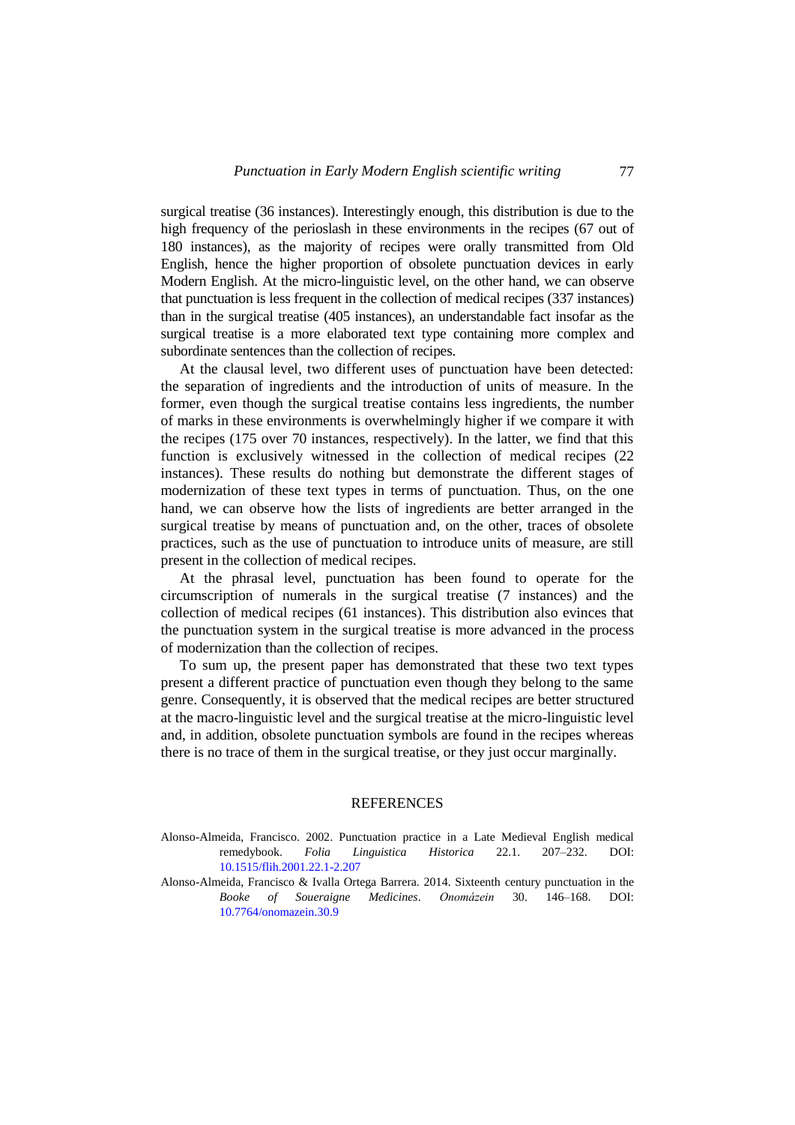surgical treatise (36 instances). Interestingly enough, this distribution is due to the high frequency of the perioslash in these environments in the recipes (67 out of 180 instances), as the majority of recipes were orally transmitted from Old English, hence the higher proportion of obsolete punctuation devices in early Modern English. At the micro-linguistic level, on the other hand, we can observe that punctuation is less frequent in the collection of medical recipes (337 instances) than in the surgical treatise (405 instances), an understandable fact insofar as the surgical treatise is a more elaborated text type containing more complex and subordinate sentences than the collection of recipes.

At the clausal level, two different uses of punctuation have been detected: the separation of ingredients and the introduction of units of measure. In the former, even though the surgical treatise contains less ingredients, the number of marks in these environments is overwhelmingly higher if we compare it with the recipes (175 over 70 instances, respectively). In the latter, we find that this function is exclusively witnessed in the collection of medical recipes (22 instances). These results do nothing but demonstrate the different stages of modernization of these text types in terms of punctuation. Thus, on the one hand, we can observe how the lists of ingredients are better arranged in the surgical treatise by means of punctuation and, on the other, traces of obsolete practices, such as the use of punctuation to introduce units of measure, are still present in the collection of medical recipes.

At the phrasal level, punctuation has been found to operate for the circumscription of numerals in the surgical treatise (7 instances) and the collection of medical recipes (61 instances). This distribution also evinces that the punctuation system in the surgical treatise is more advanced in the process of modernization than the collection of recipes.

To sum up, the present paper has demonstrated that these two text types present a different practice of punctuation even though they belong to the same genre. Consequently, it is observed that the medical recipes are better structured at the macro-linguistic level and the surgical treatise at the micro-linguistic level and, in addition, obsolete punctuation symbols are found in the recipes whereas there is no trace of them in the surgical treatise, or they just occur marginally.

#### **REFERENCES**

<span id="page-18-0"></span>Alonso-Almeida, Francisco. 2002. Punctuation practice in a Late Medieval English medical remedybook. *Folia Linguistica Historica* 22.1. 207–232. DOI: [10.1515/flih.2001.22.1-2.207](https://doi.org/10.1515/flih.2001.22.1-2.207)

<span id="page-18-1"></span>Alonso-Almeida, Francisco & Ivalla Ortega Barrera. 2014. Sixteenth century punctuation in the *Booke of Soueraigne Medicines*. *Onomázein* 30. 146–168. DOI: [10.7764/onomazein.30.9](https://doi.org/10.7764/onomazein.30.9)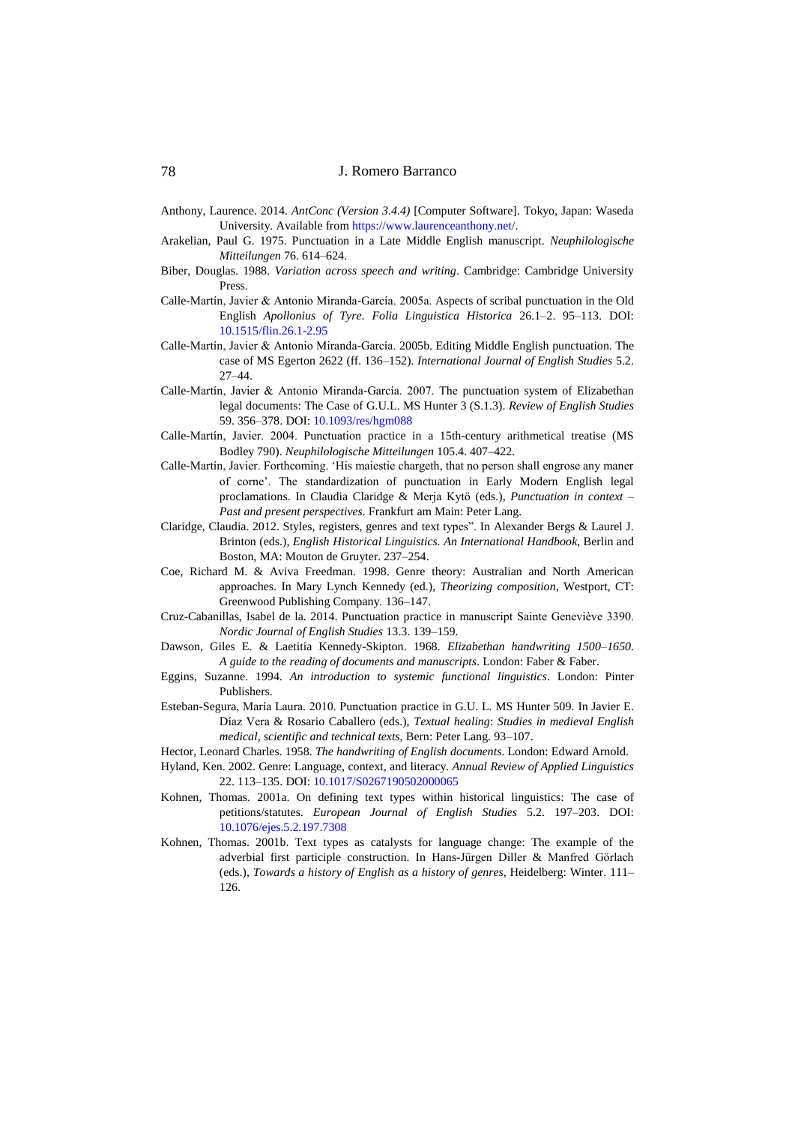- <span id="page-19-7"></span>Anthony, Laurence. 2014. *AntConc (Version 3.4.4)* [Computer Software]. Tokyo, Japan: Waseda University. Available from [https://www.laurenceanthony.net/.](https://www.laurenceanthony.net/)
- <span id="page-19-2"></span>Arakelian, Paul G. 1975. Punctuation in a Late Middle English manuscript. *Neuphilologische Mitteilungen* 76. 614–624.
- <span id="page-19-9"></span>Biber, Douglas. 1988. *Variation across speech and writing*. Cambridge: Cambridge University Press.
- <span id="page-19-1"></span>Calle-Martín, Javier & Antonio Miranda-García. 2005a. Aspects of scribal punctuation in the Old English *Apollonius of Tyre*. *Folia Linguistica Historica* 26.1–2. 95–113. DOI: [10.1515/flin.26.1-2.95](https://doi.org/10.1515/flin.26.1-2.95)
- <span id="page-19-3"></span>Calle-Martín, Javier & Antonio Miranda-García. 2005b. Editing Middle English punctuation. The case of MS Egerton 2622 (ff. 136–152). *International Journal of English Studies* 5.2. 27–44.
- <span id="page-19-4"></span>Calle-Martín, Javier & Antonio Miranda-García. 2007. The punctuation system of Elizabethan legal documents: The Case of G.U.L. MS Hunter 3 (S.1.3). *Review of English Studies* 59. 356–378. DOI[: 10.1093/res/hgm088](https://doi.org/10.1093/res/hgm088)
- <span id="page-19-0"></span>Calle-Martín, Javier. 2004. Punctuation practice in a 15th-century arithmetical treatise (MS Bodley 790). *Neuphilologische Mitteilungen* 105.4. 407–422.
- <span id="page-19-5"></span>Calle-Martín, Javier. Forthcoming. 'His maiestie chargeth, that no person shall engrose any maner of corne'. The standardization of punctuation in Early Modern English legal proclamations. In Claudia Claridge & Merja Kytö (eds.), *Punctuation in context – Past and present perspectives*. Frankfurt am Main: Peter Lang.
- <span id="page-19-11"></span>Claridge, Claudia. 2012. Styles, registers, genres and text types". In Alexander Bergs & Laurel J. Brinton (eds.), *English Historical Linguistics. An International Handbook*, Berlin and Boston, MA: Mouton de Gruyter. 237–254.
- Coe, Richard M. & Aviva Freedman. 1998. Genre theory: Australian and North American approaches. In Mary Lynch Kennedy (ed.), *Theorizing composition*, Westport, CT: Greenwood Publishing Company. 136–147.
- <span id="page-19-14"></span>Cruz-Cabanillas, Isabel de la. 2014. Punctuation practice in manuscript Sainte Geneviève 3390. *Nordic Journal of English Studies* 13.3. 139–159.
- <span id="page-19-6"></span>Dawson, Giles E. & Laetitia Kennedy-Skipton. 1968*. Elizabethan handwriting 1500–1650. A guide to the reading of documents and manuscripts*. London: Faber & Faber.
- <span id="page-19-8"></span>Eggins, Suzanne. 1994. *An introduction to systemic functional linguistics*. London: Pinter Publishers.
- <span id="page-19-16"></span>Esteban-Segura, María Laura. 2010. Punctuation practice in G.U. L. MS Hunter 509. In Javier E. Díaz Vera & Rosario Caballero (eds.), *Textual healing*: *Studies in medieval English medical, scientific and technical texts*, Bern: Peter Lang. 93–107.
- <span id="page-19-15"></span>Hector, Leonard Charles. 1958. *The handwriting of English documents*. London: Edward Arnold.
- Hyland, Ken. 2002. Genre: Language, context, and literacy. *Annual Review of Applied Linguistics* 22. 113–135. DOI[: 10.1017/S0267190502000065](https://doi.org/10.1017/S0267190502000065)
- <span id="page-19-12"></span>Kohnen, Thomas. 2001a. On defining text types within historical linguistics: The case of petitions/statutes. *European Journal of English Studies* 5.2. 197–203. DOI: [10.1076/ejes.5.2.197.7308](file:///G:/Doccat/_WA_SAP/54/xx%20Romero%20Barranco/10.1076/ejes.5.2.197.7308)
- <span id="page-19-13"></span><span id="page-19-10"></span>Kohnen, Thomas. 2001b. Text types as catalysts for language change: The example of the adverbial first participle construction. In Hans-Jürgen Diller & Manfred Görlach (eds.), *Towards a history of English as a history of genres*, Heidelberg: Winter. 111– 126.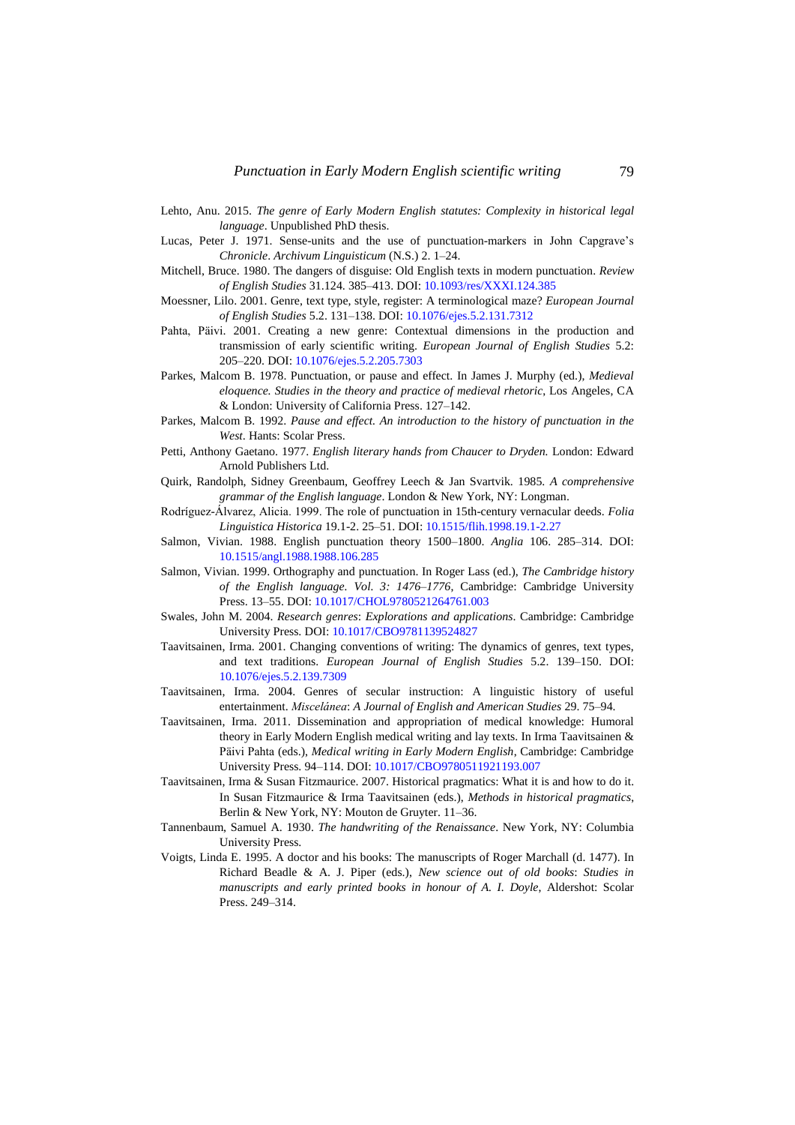- Lehto, Anu. 2015. *The genre of Early Modern English statutes: Complexity in historical legal language*. Unpublished PhD thesis.
- <span id="page-20-3"></span>Lucas, Peter J. 1971. Sense-units and the use of punctuation-markers in John Capgrave's *Chronicle*. *Archivum Linguisticum* (N.S.) 2. 1–24.
- <span id="page-20-4"></span>Mitchell, Bruce. 1980. The dangers of disguise: Old English texts in modern punctuation. *Review of English Studies* 31.124. 385–413. DOI[: 10.1093/res/XXXI.124.385](https://doi.org/10.1093/res/XXXI.124.385)
- Moessner, Lilo. 2001. Genre, text type, style, register: A terminological maze? *European Journal of English Studies* 5.2. 131–138. DOI: [10.1076/ejes.5.2.131.7312](https://doi.org/10.1076/ejes.5.2.131.7312)
- <span id="page-20-8"></span>Pahta, Päivi. 2001. Creating a new genre: Contextual dimensions in the production and transmission of early scientific writing. *European Journal of English Studies* 5.2: 205–220. DOI[: 10.1076/ejes.5.2.205.7303](https://doi.org/10.1076/ejes.5.2.205.7303)
- Parkes, Malcom B. 1978. Punctuation, or pause and effect. In James J. Murphy (ed.), *Medieval eloquence. Studies in the theory and practice of medieval rhetoric*, Los Angeles, CA & London: University of California Press. 127–142.
- <span id="page-20-11"></span>Parkes, Malcom B. 1992. *Pause and effect. An introduction to the history of punctuation in the West*. Hants: Scolar Press.
- <span id="page-20-5"></span>Petti, Anthony Gaetano. 1977. *English literary hands from Chaucer to Dryden.* London: Edward Arnold Publishers Ltd.
- <span id="page-20-13"></span>Quirk, Randolph, Sidney Greenbaum, Geoffrey Leech & Jan Svartvik. 1985. *A comprehensive grammar of the English language*. London & New York, NY: Longman.
- <span id="page-20-2"></span>Rodríguez-Álvarez, Alicia. 1999. The role of punctuation in 15th-century vernacular deeds. *Folia Linguistica Historica* 19.1-2. 25–51. DOI: [10.1515/flih.1998.19.1-2.27](https://doi.org/10.1515/flih.1998.19.1-2.27)
- <span id="page-20-0"></span>Salmon, Vivian. 1988. English punctuation theory 1500–1800. *Anglia* 106. 285–314. DOI: [10.1515/angl.1988.1988.106.285](https://doi.org/10.1515/angl.1988.1988.106.285)
- <span id="page-20-1"></span>Salmon, Vivian. 1999. Orthography and punctuation. In Roger Lass (ed.), *The Cambridge history of the English language. Vol. 3: 1476–1776*, Cambridge: Cambridge University Press. 13–55. DOI[: 10.1017/CHOL9780521264761.003](https://doi.org/10.1017/CHOL9780521264761.003)
- Swales, John M. 2004. *Research genres*: *Explorations and applications*. Cambridge: Cambridge University Press. DOI: [10.1017/CBO9781139524827](https://doi.org/10.1017/CBO9781139524827)
- <span id="page-20-6"></span>Taavitsainen, Irma. 2001. Changing conventions of writing: The dynamics of genres, text types, and text traditions. *European Journal of English Studies* 5.2. 139–150. DOI: [10.1076/ejes.5.2.139.7309](https://doi.org/10.1076/ejes.5.2.139.7309)
- <span id="page-20-7"></span>Taavitsainen, Irma. 2004. Genres of secular instruction: A linguistic history of useful entertainment. *Miscelánea*: *A Journal of English and American Studies* 29. 75–94.
- <span id="page-20-10"></span>Taavitsainen, Irma. 2011. Dissemination and appropriation of medical knowledge: Humoral theory in Early Modern English medical writing and lay texts. In Irma Taavitsainen & Päivi Pahta (eds.), *Medical writing in Early Modern English*, Cambridge: Cambridge University Press. 94–114. DOI[: 10.1017/CBO9780511921193.007](https://doi.org/10.1017/CBO9780511921193.007)
- <span id="page-20-9"></span>Taavitsainen, Irma & Susan Fitzmaurice. 2007. Historical pragmatics: What it is and how to do it. In Susan Fitzmaurice & Irma Taavitsainen (eds.), *Methods in historical pragmatics*, Berlin & New York, NY: Mouton de Gruyter. 11–36.
- <span id="page-20-12"></span>Tannenbaum, Samuel A. 1930. *The handwriting of the Renaissance*. New York, NY: Columbia University Press.
- Voigts, Linda E. 1995. A doctor and his books: The manuscripts of Roger Marchall (d. 1477). In Richard Beadle & A. J. Piper (eds.), *New science out of old books*: *Studies in manuscripts and early printed books in honour of A. I. Doyle*, Aldershot: Scolar Press. 249–314.